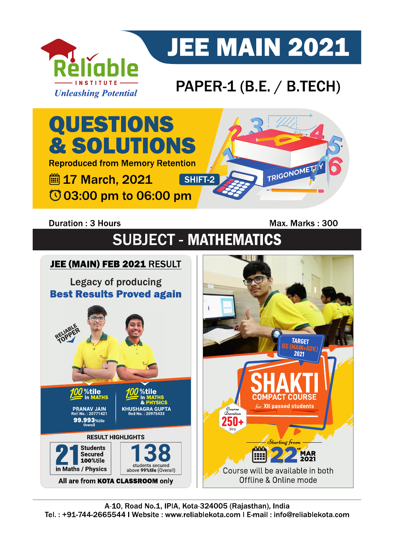

# **JEE MAIN 2021**

## PAPER-1 (B.E. / B.TECH)



### **Duration: 3 Hours**

Max. Marks: 300

## **SUBJECT - MATHEMATICS**

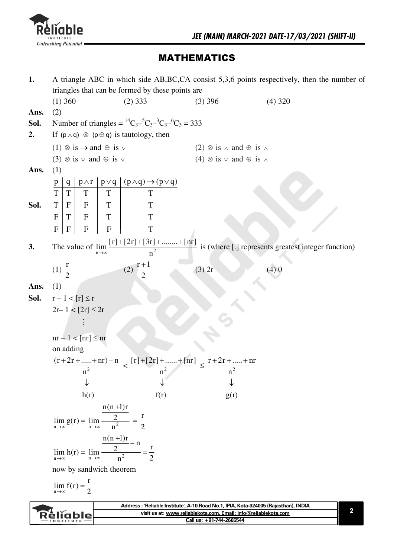

### **MATHEMATICS**

| 1.   |                                                                                                  |                                                                                                                  |                                                    | A triangle ABC in which side AB, BC, CA consist 5,3,6 points respectively, then the number of                                                                |
|------|--------------------------------------------------------------------------------------------------|------------------------------------------------------------------------------------------------------------------|----------------------------------------------------|--------------------------------------------------------------------------------------------------------------------------------------------------------------|
|      |                                                                                                  | triangles that can be formed by these points are                                                                 |                                                    |                                                                                                                                                              |
|      | $(1)$ 360                                                                                        | $(2)$ 333                                                                                                        | $(3)$ 396                                          | $(4)$ 320                                                                                                                                                    |
| Ans. | (2)                                                                                              |                                                                                                                  |                                                    |                                                                                                                                                              |
| Sol. |                                                                                                  | Number of triangles = ${}^{14}C_{3}{}^{-5}C_{3}{}^{-3}C_{3}{}^{-6}C_{3}$ = 333                                   |                                                    |                                                                                                                                                              |
| 2.   | If $(p \land q) \otimes (p \oplus q)$ is tautology, then                                         |                                                                                                                  |                                                    |                                                                                                                                                              |
|      | $(1) \otimes is \rightarrow and \oplus is$                                                       |                                                                                                                  | $(2) \otimes$ is $\wedge$ and $\oplus$ is $\wedge$ |                                                                                                                                                              |
|      | (3) $\otimes$ is $\vee$ and $\oplus$ is $\vee$                                                   |                                                                                                                  | $(4) \otimes$ is $\vee$ and $\oplus$ is $\wedge$   |                                                                                                                                                              |
| Ans. | (1)                                                                                              |                                                                                                                  |                                                    |                                                                                                                                                              |
|      | $\mathbf{q}$<br>$\mathbf{p}$                                                                     | $\begin{array}{c c c}\np\wedge r & p\vee q & (p\wedge q)\rightarrow (p\vee q) \\ \hline\nT & T & T\n\end{array}$ |                                                    |                                                                                                                                                              |
|      | $\overline{\mathrm{T}}$<br>T                                                                     |                                                                                                                  |                                                    |                                                                                                                                                              |
| Sol. | T<br>T<br>$\mathbf F$<br>$\mathbf{F}$                                                            | T                                                                                                                |                                                    |                                                                                                                                                              |
|      | $\mathbf F$<br>$\mathbf F$<br>$\mathbf T$<br>T                                                   | T                                                                                                                |                                                    |                                                                                                                                                              |
|      | $\mathbf{F}$<br>${\bf F}$<br>$\mathbf{F}$<br>$\mathbf{F}$                                        | T                                                                                                                |                                                    |                                                                                                                                                              |
|      |                                                                                                  |                                                                                                                  |                                                    |                                                                                                                                                              |
| 3.   | The value of lim<br>$n\rightarrow\infty$                                                         |                                                                                                                  |                                                    | $\frac{\lfloor r\rfloor + \lfloor 2r\rfloor + \lfloor 3r\rfloor + \dots + \lfloor nr\rfloor}{n^2}$ is (where [.] represents greatest integer function)       |
|      |                                                                                                  |                                                                                                                  |                                                    |                                                                                                                                                              |
|      | (1) $\frac{r}{2}$                                                                                | (2) $\frac{r+1}{2}$                                                                                              | $(3)$ 2r                                           | (4)0                                                                                                                                                         |
| Ans. | (1)                                                                                              |                                                                                                                  |                                                    |                                                                                                                                                              |
| Sol. | $r-1 < [r] \le r$                                                                                |                                                                                                                  |                                                    |                                                                                                                                                              |
|      | $2r-1 < [2r] \leq 2r$                                                                            |                                                                                                                  |                                                    |                                                                                                                                                              |
|      |                                                                                                  |                                                                                                                  |                                                    |                                                                                                                                                              |
|      |                                                                                                  |                                                                                                                  |                                                    |                                                                                                                                                              |
|      | $nr - 1 < [nr] \le nr$                                                                           |                                                                                                                  |                                                    |                                                                                                                                                              |
|      | on adding                                                                                        |                                                                                                                  |                                                    |                                                                                                                                                              |
|      |                                                                                                  | $\frac{(r+2r++nr)-n}{n^2} < \frac{[r]+[2r]++ [nr]}{n^2} \le \frac{r+2r++nr}{n^2}$                                |                                                    |                                                                                                                                                              |
|      |                                                                                                  |                                                                                                                  |                                                    |                                                                                                                                                              |
|      |                                                                                                  |                                                                                                                  |                                                    |                                                                                                                                                              |
|      | h(r)                                                                                             | f(r)                                                                                                             | g(r)                                               |                                                                                                                                                              |
|      |                                                                                                  | $n(n+1)r$                                                                                                        |                                                    |                                                                                                                                                              |
|      | $\lim_{n \to \infty} g(r) = \lim_{n \to \infty} \frac{2}{n^2} = \frac{r}{2}$                     |                                                                                                                  |                                                    |                                                                                                                                                              |
|      |                                                                                                  |                                                                                                                  |                                                    |                                                                                                                                                              |
|      | $\lim_{n \to \infty} h(r) = \lim_{n \to \infty} \frac{\frac{n(n+1)r}{2} - n}{n^2} = \frac{r}{2}$ |                                                                                                                  |                                                    |                                                                                                                                                              |
|      |                                                                                                  |                                                                                                                  |                                                    |                                                                                                                                                              |
|      |                                                                                                  |                                                                                                                  |                                                    |                                                                                                                                                              |
|      | now by sandwich theorem                                                                          |                                                                                                                  |                                                    |                                                                                                                                                              |
|      | $\lim_{n\to\infty} f(r) = \frac{r}{2}$                                                           |                                                                                                                  |                                                    |                                                                                                                                                              |
|      |                                                                                                  |                                                                                                                  |                                                    |                                                                                                                                                              |
|      |                                                                                                  |                                                                                                                  |                                                    | Address : 'Reliable Institute', A-10 Road No.1, IPIA, Kota-324005 (Rajasthan), INDIA<br>2<br>visit us at: www.reliablekota.com, Email: info@reliablekota.com |
|      | èliable                                                                                          |                                                                                                                  | Call us: +91-744-2665544                           |                                                                                                                                                              |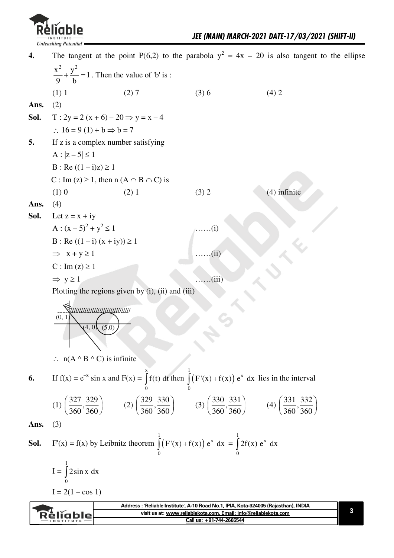

The tangent at the point P(6,2) to the parabola  $y^2 = 4x - 20$  is also tangent to the ellipse  $\overline{4}$ .  $\frac{x^2}{2} + \frac{y^2}{4} = 1$ . Then the value of 'b' is :  $(1) 1$  $(2) 7$  $(3)6$  $(4) 2$ Ans.  $(2)$  $T: 2y = 2(x + 6) - 20 \implies y = x - 4$ Sol.  $\therefore 16 = 9(1) + b \Rightarrow b = 7$  $\overline{5}$ . If z is a complex number satisfying  $A: |z-5| \leq 1$  $B: Re ((1 - i)z) \ge 1$ C : Im (z)  $\geq$  1, then n (A  $\cap$  B  $\cap$  C) is  $(1)0$  $(4)$  infinite  $(2) 1$  $(3) 2$  $(4)$ Ans. Let  $z = x + iy$ Sol. A :  $(x-5)^2 + y^2 \le 1$  $\dots(i)$  $B: Re ((1 - i) (x + iy)) \ge 1$  $\Rightarrow$  x + y  $\geq$  1  $\ldots$   $\ldots$  (ii)  $C: Im(z) \geq 1$  $\Rightarrow$  y  $\geq$  1  $\ldots$  (iii) Plotting the regions given by  $(i)$ ,  $(ii)$  and  $(iii)$  $(0, 1)$  $\sqrt{4}$ . 0  $\therefore$  n(A  $\wedge$  B  $\wedge$  C) is infinite If  $f(x) = e^{-x} \sin x$  and  $F(x) = \int f(t) dt$  then  $\int (F'(x) + f(x)) e^{x} dx$  lies in the interval 6. (1)  $\left(\frac{327}{360}, \frac{329}{360}\right)$  (2)  $\left(\frac{329}{360}, \frac{330}{360}\right)$  (3)  $\left(\frac{330}{360}, \frac{331}{360}\right)$  (4)  $\left(\frac{331}{360}, \frac{332}{360}\right)$ Ans.  $(3)$ F'(x) = f(x) by Leibnitz theorem  $\int_a^1 (F'(x) + f(x)) e^x dx = \int_a^1 2f(x) e^x dx$ Sol.  $I = \int 2 \sin x \ dx$  $I = 2(1 - \cos 1)$ Address : 'Reliable Institute', A-10 Road No.1, IPIA, Kota-324005 (Rajasthan), INDIA 3 visit us at: www.reliablekota.com, Email: info@reliablekota.com Réliable Call us: +91-744-2665544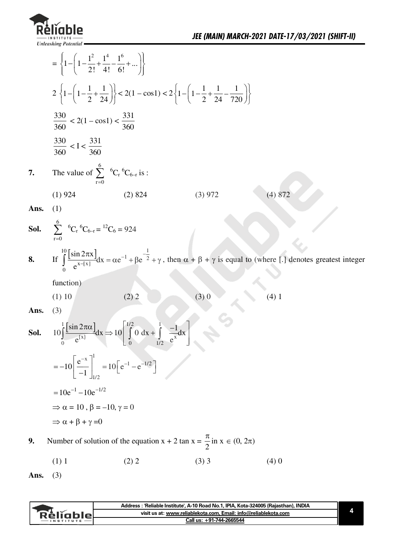

|      | $= \left\{1 - \left(1 - \frac{1^2}{2!} + \frac{1^4}{4!} - \frac{1^6}{6!} + \dots\right)\right\}$ |                                                                                                                                                 |         |                                                                                                                                                                                                       |  |
|------|--------------------------------------------------------------------------------------------------|-------------------------------------------------------------------------------------------------------------------------------------------------|---------|-------------------------------------------------------------------------------------------------------------------------------------------------------------------------------------------------------|--|
|      |                                                                                                  | $2\left\{1-\left(1-\frac{1}{2}+\frac{1}{24}\right)\right\}<2(1-\cos 1)<2\left\{1-\left(1-\frac{1}{2}+\frac{1}{24}-\frac{1}{720}\right)\right\}$ |         |                                                                                                                                                                                                       |  |
|      | $\frac{330}{360} < 2(1 - \cos 1) < \frac{331}{360}$                                              |                                                                                                                                                 |         |                                                                                                                                                                                                       |  |
|      | $\frac{330}{360} < I < \frac{331}{360}$                                                          |                                                                                                                                                 |         |                                                                                                                                                                                                       |  |
| 7.   | The value of $\sum_{r=0}^{6} {}^{6}C_{r} {}^{6}C_{6-r}$ is :                                     |                                                                                                                                                 |         |                                                                                                                                                                                                       |  |
|      | $(1)$ 924                                                                                        | (2) 824                                                                                                                                         | (3) 972 | (4) 872                                                                                                                                                                                               |  |
| Ans. | (1)                                                                                              |                                                                                                                                                 |         |                                                                                                                                                                                                       |  |
|      | <b>Sol.</b> $\sum_{n=0}^{6} {}^{6}C_{r} {}^{6}C_{6-r} = {}^{12}C_{6} = 924$                      |                                                                                                                                                 |         |                                                                                                                                                                                                       |  |
|      |                                                                                                  |                                                                                                                                                 |         | 8. If $\int_{0}^{10} \left[\frac{\sin 2\pi x}{e^{x-[x]}}\right]dx = \alpha e^{-1} + \beta e^{-\frac{1}{2}} + \gamma$ , then $\alpha + \beta + \gamma$ is equal to (where [.] denotes greatest integer |  |
|      | function)                                                                                        |                                                                                                                                                 |         |                                                                                                                                                                                                       |  |
|      | $(1)$ 10                                                                                         | (2) 2                                                                                                                                           | (3)0    | (4)1                                                                                                                                                                                                  |  |
| Ans. | (3)                                                                                              |                                                                                                                                                 |         |                                                                                                                                                                                                       |  |
| Sol. |                                                                                                  | $10\int_{0}^{1} \frac{\sin 2\pi \alpha}{e^{(x)}} dx \Rightarrow 10\int_{0}^{1/2} 0 dx + \int_{0}^{1} \frac{-1}{e^{x}} dx$                       |         |                                                                                                                                                                                                       |  |
|      |                                                                                                  | $=-10\left[\frac{e^{-x}}{-1}\right]_{1/2}^{1}=10\left[e^{-1}-e^{-1/2}\right]$                                                                   |         |                                                                                                                                                                                                       |  |
|      | $=10e^{-1}-10e^{-1/2}$                                                                           |                                                                                                                                                 |         |                                                                                                                                                                                                       |  |
|      | $\Rightarrow \alpha = 10$ , $\beta = -10$ , $\gamma = 0$                                         |                                                                                                                                                 |         |                                                                                                                                                                                                       |  |
|      | $\Rightarrow \alpha + \beta + \gamma = 0$                                                        |                                                                                                                                                 |         |                                                                                                                                                                                                       |  |
| 9.   |                                                                                                  | Number of solution of the equation $x + 2 \tan x = \frac{\pi}{2}$ in $x \in (0, 2\pi)$                                                          |         |                                                                                                                                                                                                       |  |

 $(1)$  1  $(2)$  2  $(3)$  3  $(4)0$ 

Ans.  $(3)$ 

| Address          | :'Reliable Institute', A-10 Road No.1, IPIA, Kota-324005 (Raiasthan), INDIA |  |
|------------------|-----------------------------------------------------------------------------|--|
| Réligblel        | visit us at: www.reliablekota.com. Email: info@reliablekota.com             |  |
| <b>INSTITUTE</b> | Call us: +91-744-2665544                                                    |  |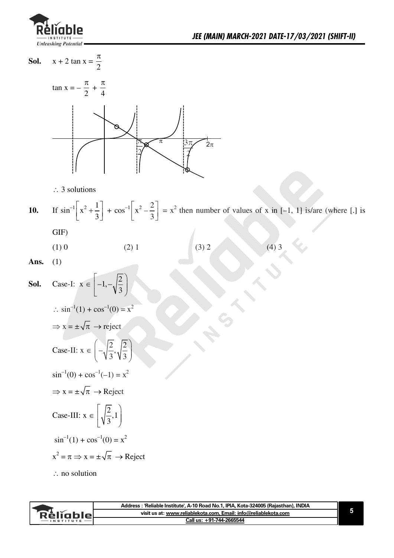

 $x + 2 \tan x = \frac{\pi}{2}$ Sol.



 $\therefore$  3 solutions

If  $\sin^{-1}\left[x^2 + \frac{1}{3}\right] + \cos^{-1}\left[x^2 - \frac{2}{3}\right] = x^2$  then number of values of x in [-1, 1] is/are (where [.] is  $10.$ 

GIF)

 $(3) 2$  $(4)$  3  $(1)$  0  $(2)$  1

Ans.  $(1)$ 

**Sol.** Case-I: 
$$
x \in \left[-1, -\sqrt{\frac{2}{3}}\right]
$$
  
\n $\therefore \sin^{-1}(1) + \cos^{-1}(0) = x^2$   
\n $\Rightarrow x = \pm \sqrt{\pi} \rightarrow \text{reject}$   
\nCase-II:  $x \in \left(-\sqrt{\frac{2}{3}}, \sqrt{\frac{2}{3}}\right)$   
\n $\sin^{-1}(0) + \cos^{-1}(-1) = x^2$   
\n $\Rightarrow x = \pm \sqrt{\pi} \rightarrow \text{Reject}$   
\nCase-III:  $x \in \left[\sqrt{\frac{2}{3}}, 1\right]$   
\n $\sin^{-1}(1) + \cos^{-1}(0) = x^2$   
\n $x^2 = \pi \Rightarrow x = \pm \sqrt{\pi} \rightarrow \text{Reject}$   
\n $\therefore$  no solution

|             | Address: 'Reliable Institute', A-10 Road No.1, IPIA, Kota-324005 (Rajasthan), INDIA |  |
|-------------|-------------------------------------------------------------------------------------|--|
| - Relighier | visit us at: www.reliablekota.com. Email: info@reliablekota.com                     |  |
|             | Call us: +91-744-2665544                                                            |  |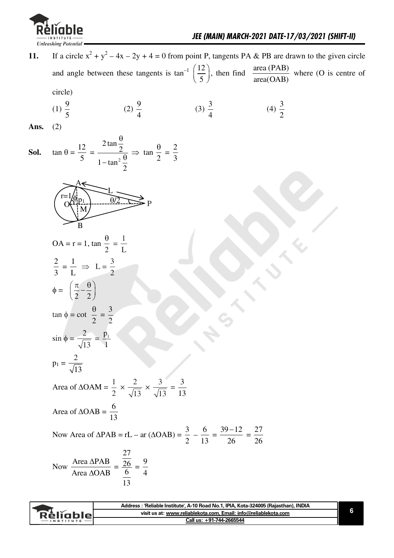

| 11.  |                                                                                                                                            | If a circle $x^2 + y^2 - 4x - 2y + 4 = 0$ from point P, tangents PA & PB are drawn to the given circle                            |                  |                   |                       |  |
|------|--------------------------------------------------------------------------------------------------------------------------------------------|-----------------------------------------------------------------------------------------------------------------------------------|------------------|-------------------|-----------------------|--|
|      |                                                                                                                                            | and angle between these tangents is $\tan^{-1}\left(\frac{12}{5}\right)$ , then find $\frac{\text{area (PAB)}}{\text{area(OAB)}}$ |                  |                   | where (O is centre of |  |
|      | circle)                                                                                                                                    |                                                                                                                                   |                  |                   |                       |  |
|      | (1) $\frac{9}{5}$                                                                                                                          | (2) $\frac{9}{4}$                                                                                                                 | $(3)\frac{3}{4}$ | (4) $\frac{3}{2}$ |                       |  |
| Ans. | (2)                                                                                                                                        |                                                                                                                                   |                  |                   |                       |  |
| Sol. | $\tan \theta = \frac{12}{5} = \frac{2 \tan \frac{\theta}{2}}{1 - \tan^2 \frac{\theta}{2}} \Rightarrow \tan \frac{\theta}{2} = \frac{2}{3}$ |                                                                                                                                   |                  |                   |                       |  |
|      | $\theta$ /2<br>M<br>B                                                                                                                      | $\overline{P}$                                                                                                                    |                  |                   |                       |  |
|      | OA = r = 1, tan $\frac{\theta}{2} = \frac{1}{1}$                                                                                           |                                                                                                                                   |                  |                   |                       |  |
|      | $\frac{2}{3} = \frac{1}{1} \Rightarrow L = \frac{3}{2}$                                                                                    |                                                                                                                                   |                  |                   |                       |  |
|      | $\phi = \left(\frac{\pi}{2} - \frac{\theta}{2}\right)$                                                                                     |                                                                                                                                   |                  |                   |                       |  |
|      | $\tan \phi = \cot \frac{\theta}{2} = \frac{3}{2}$                                                                                          |                                                                                                                                   |                  |                   |                       |  |
|      | $\sin \phi = \frac{2}{\sqrt{13}} = \frac{p_1}{1}$                                                                                          |                                                                                                                                   |                  |                   |                       |  |
|      | $p_1 = \frac{2}{\sqrt{13}}$                                                                                                                |                                                                                                                                   |                  |                   |                       |  |
|      |                                                                                                                                            | Area of $\triangle OAM = \frac{1}{2} \times \frac{2}{\sqrt{13}} \times \frac{3}{\sqrt{13}} = \frac{3}{13}$                        |                  |                   |                       |  |
|      | Area of $\triangle OAB = \frac{6}{13}$                                                                                                     |                                                                                                                                   |                  |                   |                       |  |
|      |                                                                                                                                            | Now Area of $\triangle PAB = rL - ar (\triangle OAB) = \frac{3}{2} - \frac{6}{13} = \frac{39 - 12}{26} = \frac{27}{26}$           |                  |                   |                       |  |
|      | Now $\frac{\text{Area } \Delta \text{PAB}}{\text{Area } \Delta \text{OAB}} = \frac{\frac{27}{26}}{\frac{6}{4}} = \frac{9}{4}$              |                                                                                                                                   |                  |                   |                       |  |

|                   | Address : 'Reliable Institute', A-10 Road No.1, IPIA, Kota-324005 (Rajasthan), INDIA |  |
|-------------------|--------------------------------------------------------------------------------------|--|
| <b>Réliable</b>   | visit us at: www.reliablekota.com. Email: info@reliablekota.com                      |  |
| $-$ INSTITUTE $-$ | Call us: +91-744-2665544                                                             |  |
|                   |                                                                                      |  |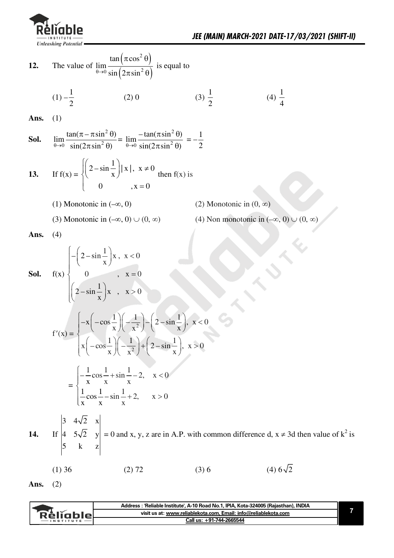

The value of  $\lim_{\theta \to 0} \frac{\tan (\pi \cos^2 \theta)}{\sin (2 \pi \sin^2 \theta)}$  is equal to 12.  $(1) -\frac{1}{2}$  $(3)\frac{1}{2}$ (4)  $\frac{1}{4}$  $(2)$  0 Ans.  $(1)$  $\lim_{\theta \to 0} \frac{\tan(\pi - \pi \sin^2 \theta)}{\sin(2\pi \sin^2 \theta)} = \lim_{\theta \to 0} \frac{-\tan(\pi \sin^2 \theta)}{\sin(2\pi \sin^2 \theta)} = -\frac{1}{2}$ Sol. If  $f(x) = \begin{cases} \left(2 - \sin \frac{1}{x}\right) |x|, & x \neq 0 \\ 0, & x = 0 \end{cases}$  then  $f(x)$  is  $13.$ (1) Monotonic in  $(-\infty, 0)$ (2) Monotonic in  $(0, \infty)$ (4) Non monotonic in  $(-\infty, 0) \cup (0, \infty)$ (3) Monotonic in  $(-\infty, 0) \cup (0, \infty)$ Ans.  $(4)$  $f(x)$   $\begin{cases} -\left(2-\sin{\frac{1}{x}}\right)x, & x < 0 \\ 0, & x = 0 \end{cases}$ <br> $\left(2-\sin{\frac{1}{x}}\right)x, & x > 0$ Sol.  $f'(x) = \begin{cases} -x\left(-\cos\frac{1}{x}\right)\left(-\frac{1}{x^2}\right) - \left(2-\sin\frac{1}{x}\right), & x < 0 \\ x\left(-\cos\frac{1}{x}\right)\left(-\frac{1}{x^2}\right) + \left(2-\sin\frac{1}{x}\right), & x > 0 \end{cases}$  $= \begin{cases} -\frac{1}{x} \cos \frac{1}{x} + \sin \frac{1}{x} - 2, & x < 0 \\ \frac{1}{x} \cos \frac{1}{x} - \sin \frac{1}{x} + 2, & x > 0 \end{cases}$ If  $\begin{vmatrix} 3 & 4\sqrt{2} & x \\ 4 & 5\sqrt{2} & y \\ 5 & k & z \end{vmatrix} = 0$  and x, y, z are in A.P. with common difference d, x  $\neq$  3d then value of  $k^2$  is  $14.$  $(4) 6\sqrt{2}$  $(1)$  36  $(2) 72$  $(3)6$ 

Ans.  $(2)$ 

|          | Address : 'Reliable Institute', A-10 Road No.1, IPIA, Kota-324005 (Rajasthan), INDIA |
|----------|--------------------------------------------------------------------------------------|
| Réliable | visit us at: www.reliablekota.com. Email: info@reliablekota.com                      |
|          | Call us: +91-744-2665544                                                             |
|          |                                                                                      |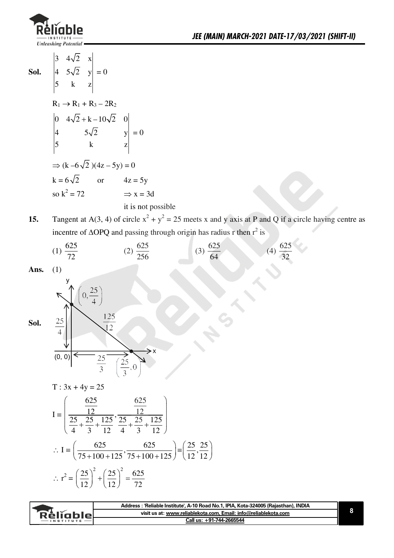

 $\begin{vmatrix} 3 & 4\sqrt{2} & x \\ 4 & 5\sqrt{2} & y \end{vmatrix}$ Sol.  $|y| = 0$  $\overline{5}$  $\mathbf{k}$  $\overline{z}$  $R_1 \rightarrow R_1 + R_3 - 2R_2$  $\begin{vmatrix} 0 & 4\sqrt{2} + k - 10\sqrt{2} & 0 \\ 4 & 5\sqrt{2} & y \\ 5 & k & z \end{vmatrix} = 0$  $\begin{array}{c} \n \boxed{4} \\ \n \boxed{5} \n \end{array}$  $\Rightarrow$  (k -6 $\sqrt{2}$ )(4z - 5y) = 0  $k = 6\sqrt{2}$  or  $4z = 5y$ so  $k^2 = 72$  $\Rightarrow$  x = 3d it is not possible

Tangent at A(3, 4) of circle  $x^2 + y^2 = 25$  meets x and y axis at P and Q if a circle having centre as 15. incentre of  $\triangle$ OPQ and passing through origin has radius r then  $r^2$  is

(1) 
$$
\frac{625}{72}
$$
 (2)  $\frac{625}{256}$  (3)  $\frac{625}{64}$  (4)  $\frac{625}{32}$ 

Ans.  $(1)$ 

Sol.

 $\left(0, \frac{25}{4}\right)$ 125  $\frac{25}{4}$  $12$  $(0, 0)$  $\frac{25}{3}$  $\frac{25}{3}$  $\overline{0}$ 

$$
T: 3x + 4y = 25
$$

$$
I = \left(\frac{\frac{625}{12}}{\frac{25}{4} + \frac{25}{3} + \frac{125}{12}}, \frac{\frac{625}{12}}{\frac{25}{4} + \frac{25}{3} + \frac{125}{12}}\right)
$$
  
 
$$
\therefore I = \left(\frac{625}{75 + 100 + 125}, \frac{625}{75 + 100 + 125}\right) = \left(\frac{25}{12}, \frac{25}{12}\right)
$$
  
 
$$
\therefore r^2 = \left(\frac{25}{12}\right)^2 + \left(\frac{25}{12}\right)^2 = \frac{625}{72}
$$

|           | Address : 'Reliable Institute', A-10 Road No.1, IPIA, Kota-324005 (Rajasthan), INDIA |  |
|-----------|--------------------------------------------------------------------------------------|--|
| Réliable  | visit us at: www.reliablekota.com, Email: info@reliablekota.com                      |  |
| INSTITUTE | Call us: +91-744-2665544                                                             |  |
|           |                                                                                      |  |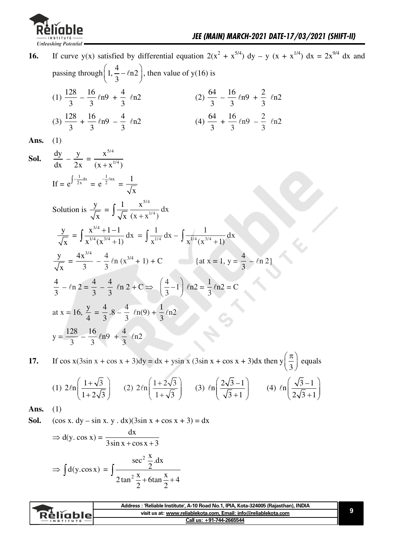

| 16.  | If curve y(x) satisfied by differential equation $2(x^2 + x^{5/4})$ dy – y (x + x <sup>1/4</sup> ) dx = $2x^{9/4}$ dx and                        |
|------|--------------------------------------------------------------------------------------------------------------------------------------------------|
|      | passing through $\left(1, \frac{4}{3} - \ln 2\right)$ , then value of y(16) is                                                                   |
|      | (1) $\frac{128}{3} - \frac{16}{3}ln9 + \frac{4}{3}ln2$<br>(2) $\frac{64}{3} - \frac{16}{3}ln9 + \frac{2}{3}ln2$                                  |
|      | (4) $\frac{64}{3} + \frac{16}{3}$ $\ln 9 - \frac{2}{3}$ $\ln 2$<br>(3) $\frac{128}{3} + \frac{16}{3}ln9 - \frac{4}{3}ln2$                        |
| Ans. | (1)                                                                                                                                              |
| Sol. | $\frac{dy}{dx} - \frac{y}{2x} = \frac{x^{3/4}}{(x + x^{1/4})}$                                                                                   |
|      | If = $e^{\int \frac{1}{2x} dx} = e^{\frac{1}{2} \ln x} = \frac{1}{\sqrt{x}}$                                                                     |
|      | Solution is $\frac{y}{\sqrt{x}} = \int \frac{1}{\sqrt{x}} \frac{x^{3/4}}{(x + x^{1/4})} dx$                                                      |
|      | $\frac{y}{\sqrt{x}} = \int \frac{x^{3/4} + 1 - 1}{x^{1/4}(x^{3/4} + 1)} dx = \int \frac{1}{x^{1/4}} dx - \int \frac{1}{x^{1/4}(x^{3/4} + 1)} dx$ |
|      | $\frac{y}{\sqrt{x}} = \frac{4x^{3/4}}{3} - \frac{4}{3} \ln (x^{3/4} + 1) + C$ {at x = 1, y = $\frac{4}{3} - \ln 2$ }                             |
|      | $\frac{4}{3}$ - $ln 2 = \frac{4}{3}$ - $\frac{4}{3}$ $ln 2 + C \Rightarrow \left(\frac{4}{3} - 1\right)$ $ln 2 = \frac{1}{3}ln 2 = C$            |
|      | at x = 16, $\frac{y}{4} = \frac{4}{3} \cdot 8 - \frac{4}{3} \ln(9) + \frac{1}{3} \ln 2$                                                          |
|      | $y = \frac{128}{3} - \frac{16}{3}ln9 + \frac{4}{3}ln2$                                                                                           |

If  $\cos x(3\sin x + \cos x + 3)dy = dx + y\sin x (3\sin x + \cos x + 3)dx$  then  $y(\frac{\pi}{3})$  equals 17.

(1) 
$$
2\ell n \left( \frac{1+\sqrt{3}}{1+2\sqrt{3}} \right)
$$
 (2)  $2\ell n \left( \frac{1+2\sqrt{3}}{1+\sqrt{3}} \right)$  (3)  $\ell n \left( \frac{2\sqrt{3}-1}{\sqrt{3}+1} \right)$  (4)  $\ell n \left( \frac{\sqrt{3}-1}{2\sqrt{3}+1} \right)$ 

Ans.  $(1)$ 

 $(\cos x. dy - \sin x. y. dx)(3\sin x + \cos x + 3) = dx$ Sol.

$$
\Rightarrow d(y \cdot \cos x) = \frac{dx}{3 \sin x + \cos x + 3}
$$

$$
\Rightarrow \int d(y \cdot \cos x) = \int \frac{\sec^2 \frac{x}{2} dx}{2 \tan^2 \frac{x}{2} + 6 \tan \frac{x}{2} + 4}
$$

|                 | Address: 'Reliable Institute', A-10 Road No.1, IPIA, Kota-324005 (Rajasthan), INDIA |
|-----------------|-------------------------------------------------------------------------------------|
| <b>Réliable</b> | visit us at: www.reliablekota.com, Email: info@reliablekota.com                     |
| $-$ INSTITUTE   | Call us: +91-744-2665544                                                            |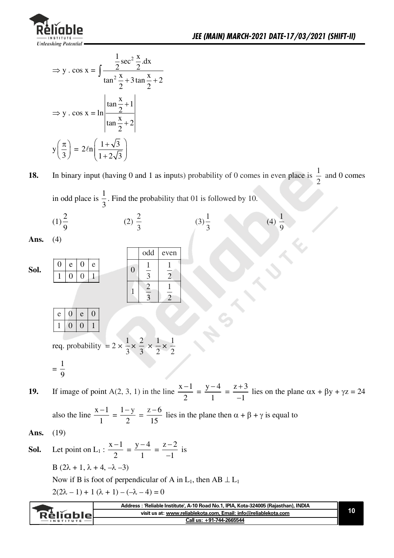

(4)  $\frac{1}{9}$ 

$$
\Rightarrow y \cdot \cos x = \int \frac{\frac{1}{2} \sec^2 \frac{x}{2} dx}{\tan^2 \frac{x}{2} + 3 \tan \frac{x}{2} + 2}
$$

$$
\Rightarrow y \cdot \cos x = \ln \left| \frac{\tan \frac{x}{2} + 1}{\tan \frac{x}{2} + 2} \right|
$$

$$
y \left( \frac{\pi}{3} \right) = 2\ln \left( \frac{1 + \sqrt{3}}{1 + 2\sqrt{3}} \right)
$$

In binary input (having 0 and 1 as inputs) probability of 0 comes in even place is  $\frac{1}{2}$  and 0 comes 18.

 $(3)\frac{1}{3}$ 

in odd place is 
$$
\frac{1}{3}
$$
. Find the probability that 01 is followed by 10.

(2)  $\frac{2}{3}$ 

$$
Ans. (4)
$$

 $(1)\frac{2}{9}$ 

**Sol.** 
$$
\begin{array}{|c|c|c|c|c|c|c|} \hline 0 & e & 0 & e & 0 & 0 \\ \hline 1 & 0 & 0 & 1 & 0 & 0 & 1 \\ \hline 2 & 1 & 1 & 2 & 1 & 0 \\ \hline 1 & 2 & 1 & 2 & 1 & 0 \\ \hline 1 & 0 & 0 & 1 & 0 & 0 & 1 \\ \hline 1 & 0 & 0 & 0 & 1 & 0 & 0 \\ \hline 1 & 0 & 0 & 1 & 0 & 0 & 0 \\ \hline 1 & 0 & 0 & 1 & 0 & 0 & 0 \\ \hline 1 & 0 & 0 & 1 & 0 & 0 & 0 \\ \hline 1 & 0 & 0 & 1 & 0 & 0 & 0 \\ \hline 1 & 0 & 0 & 1 & 0 & 0 & 0 \\ \hline 1 & 0 & 0 & 1 & 0 & 0 & 0 \\ \hline 1 & 0 & 0 & 1 & 0 & 0 & 0 \\ \hline 1 & 0 & 0 & 1 & 0 & 0 & 0 \\ \hline 1 & 0 & 0 & 1 & 0 & 0 & 0 \\ \hline 1 & 0 & 0 & 1 & 0 & 0 & 0 \\ \hline 1 & 0 & 0 & 1 & 0 & 0 & 0 \\ \hline 1 & 0 & 0 & 1 & 0 & 0 & 0 \\ \hline 1 & 0 & 0 & 1 & 0 & 0 & 0 \\ \hline 1 & 0 & 0 & 1 & 0 & 0 & 0 \\ \hline 1 & 0 & 0 & 1 & 0 & 0 & 0 \\ \hline 1 & 0 & 0 & 1 & 0 & 0 & 0 \\ \hline 1 & 0 & 0 & 1 & 0 & 0 & 0 \\ \hline 1 & 0 & 0 & 1 & 0 & 0 & 0 \\ \hline 1 & 0 & 0 & 1 & 0 & 0 & 0 \\ \hline 1 & 0 & 0 & 1 & 0 & 0 & 0 \\ \hline 1 & 0 & 0 & 1 & 0 & 0 & 0 \\ \hline 1 & 0 & 0 & 1 & 0 & 0 & 0 \\ \hline 1 & 0 & 0 & 1 & 0 & 0 & 0 \\ \hline 1 & 0 & 0 & 1 & 0 & 0 & 0 \\ \hline 1 & 0 & 0 & 1 & 0 & 0 & 0 \\
$$

If image of point A(2, 3, 1) in the line  $\frac{x-1}{2} = \frac{y-4}{1} = \frac{z+3}{-1}$  lies on the plane  $\alpha x + \beta y + \gamma z = 24$ 19.

also the line  $\frac{x-1}{1} = \frac{1-y}{2} = \frac{z-6}{15}$  lies in the plane then  $\alpha + \beta + \gamma$  is equal to

Ans. 
$$
(19)
$$

**Sol.** Let point on L<sub>1</sub>: 
$$
\frac{x-1}{2} = \frac{y-4}{1} = \frac{z-2}{-1}
$$
 is  
\nB (2 $\lambda$  + 1,  $\lambda$  + 4,  $-\lambda$  -3)  
\nNow if B is foot of perpendicular of A in L<sub>1</sub>, then AB  $\perp$  L<sub>1</sub>  
\n2(2 $\lambda$  - 1) + 1 ( $\lambda$  + 1) - ( $-\lambda$  - 4) = 0

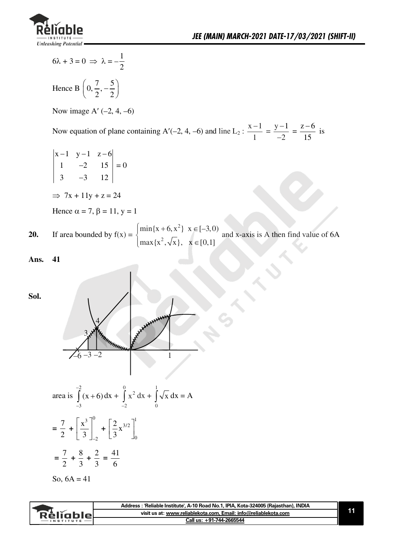

$$
6\lambda + 3 = 0 \implies \lambda = -\frac{1}{2}
$$

Hence B  $\left(0, \frac{7}{2}, -\frac{5}{2}\right)$ 

Now image A'  $(-2, 4, -6)$ 

Now equation of plane containing A'(-2, 4, -6) and line L<sub>2</sub> :  $\frac{x-1}{1} = \frac{y-1}{-2} = \frac{z-6}{15}$  is

 $\begin{vmatrix} x-1 & y-1 & z-6 \\ 1 & -2 & 15 \\ 3 & -3 & 12 \end{vmatrix} = 0$ 

$$
\Rightarrow 7x + 11y + z = 24
$$

Hence  $\alpha = 7$ ,  $\beta = 11$ ,  $y = 1$ 

If area bounded by  $f(x) = \begin{cases} \min\{x + 6, x^2\} & x \in [-3, 0) \\ \max\{x^2, \sqrt{x}\}, & x \in [0, 1] \end{cases}$  and x-axis is A then find value of 6A  $20.$ 

41 Ans.

Sol.



area is 
$$
\int_{-3}^{-2} (x+6) dx + \int_{-2}^{0} x^2 dx + \int_{0}^{1} \sqrt{x} dx = A
$$

$$
= \frac{7}{2} + \left[ \frac{x^3}{3} \right]_{-2}^{0} + \left[ \frac{2}{3} x^{3/2} \right]_{0}^{1}
$$

$$
= \frac{7}{2} + \frac{8}{3} + \frac{2}{3} = \frac{41}{6}
$$

So, 
$$
6A = 41
$$

|           | Address : 'Reliable Institute', A-10 Road No.1, IPIA, Kota-324005 (Rajasthan), INDIA |  |
|-----------|--------------------------------------------------------------------------------------|--|
| Relignier | visit us at: www.reliablekota.com, Email: info@reliablekota.com                      |  |
|           | Call us: +91-744-2665544                                                             |  |
|           |                                                                                      |  |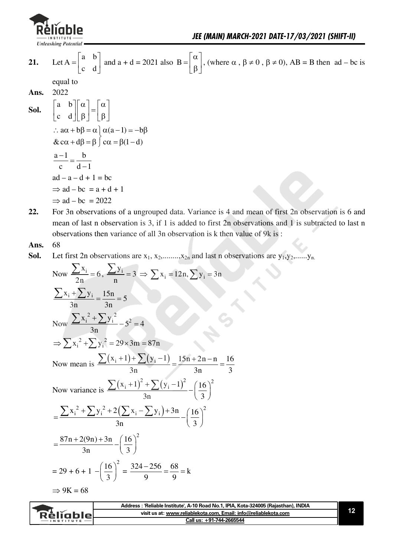

Let  $A = \begin{bmatrix} a & b \\ c & d \end{bmatrix}$  and  $a + d = 2021$  also  $B = \begin{bmatrix} \alpha \\ \beta \end{bmatrix}$ , (where  $\alpha$ ,  $\beta \neq 0$ ,  $\beta \neq 0$ ),  $AB = B$  then  $ad - bc$  is 21. equal to 2022 Ans.  $\begin{bmatrix} a & b \\ c & d \end{bmatrix} \begin{bmatrix} \alpha \\ \beta \end{bmatrix} = \begin{bmatrix} \alpha \\ \beta \end{bmatrix}$ Sol.  $\therefore$  a $\alpha + b\beta = \alpha$   $\alpha(a-1) = -b\beta$  $\&c\alpha + d\beta = \beta \int c\alpha = \beta(1-d)$  $\frac{a-1}{c} = \frac{b}{d-1}$  $ad - a - d + 1 = bc$  $\Rightarrow$  ad - bc = a + d + 1  $\Rightarrow$  ad – bc = 2022

22. For 3n observations of a ungrouped data. Variance is 4 and mean of first 2n observation is 6 and mean of last n observation is 3, if 1 is added to first 2n observations and 1 is subtracted to last n observations then variance of all 3n observation is k then value of 9k is:

#### 68 Ans.

Sol. Let first 2n observations are  $x_1, x_2, \ldots, x_{2n}$  and last n observations are  $y_1, y_2, \ldots, y_n$ 

Now 
$$
\frac{\sum x_i}{2n} = 6
$$
,  $\frac{\sum y_i}{n} = 3 \Rightarrow \sum x_i = 12n$ ,  $\sum y_i = 3n$   
\n $\frac{\sum x_i + \sum y_i}{3n} = \frac{15n}{3n} = 5$   
\nNow  $\frac{\sum x_i^2 + \sum y_i^2}{3n} = 5^2 = 4$   
\n $\Rightarrow \sum x_i^2 + \sum y_i^2 = 29 \times 3m = 87n$   
\nNow mean is  $\frac{\sum (x_i + 1) + \sum (y_i - 1)}{3n} = \frac{15n + 2n - n}{3n} = \frac{16}{3}$   
\nNow variance is  $\frac{\sum (x_i + 1)^2 + \sum (y_i - 1)^2}{3n} - \left(\frac{16}{3}\right)^2$   
\n $= \frac{\sum x_i^2 + \sum y_i^2 + 2(\sum x_i - \sum y_i) + 3n}{3n} - \left(\frac{16}{3}\right)^2$   
\n $= \frac{87n + 2(9n) + 3n}{3n} - \left(\frac{16}{3}\right)^2$   
\n $= 29 + 6 + 1 - \left(\frac{16}{3}\right)^2 = \frac{324 - 256}{9} = \frac{68}{9} = k$   
\n $\Rightarrow 9K = 68$